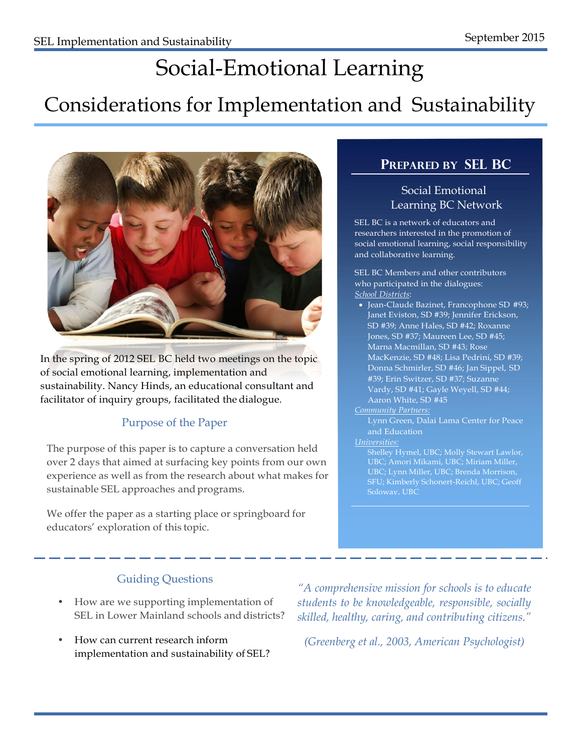# Social-Emotional Learning

## Considerations for Implementation and Sustainability



In the spring of 2012 SEL BC held two meetings on the topic of social emotional learning, implementation and sustainability. Nancy Hinds, an educational consultant and facilitator of inquiry groups, facilitated the dialogue.

#### Purpose of the Paper

The purpose of this paper is to capture a conversation held over 2 days that aimed at surfacing key points from our own experience as well as from the research about what makes for sustainable SEL approaches and programs.

We offer the paper as a starting place or springboard for educators' exploration of this topic.

#### **PREPARED BY SEL BC**

#### Social Emotional Learning BC Network

SEL BC is a network of educators and researchers interested in the promotion of social emotional learning, social responsibility and collaborative learning.

SEL BC Members and other contributors who participated in the dialogues: *School Districts*:

Jean-Claude Bazinet, Francophone SD #93; Janet Eviston, SD #39; Jennifer Erickson, SD #39; Anne Hales, SD #42; Roxanne Jones, SD #37; Maureen Lee, SD #45; Marna Macmillan, SD #43; Rose MacKenzie, SD #48; Lisa Pedrini, SD #39; Donna Schmirler, SD #46; Jan Sippel, SD #39; Erin Switzer, SD #37; Suzanne Vardy, SD #41; Gayle Weyell, SD #44; Aaron White, SD #45

*Community Partners:*

Lynn Green, Dalai Lama Center for Peace and Education

*Universities:*

#### Guiding Questions

- How are we supporting implementation of SEL in Lower Mainland schools and districts?
- How can current research inform implementation and sustainability of SEL?

*"A comprehensive mission for schools is to educate students to be knowledgeable, responsible, socially skilled, healthy, caring, and contributing citizens."*

*(Greenberg et al., 2003, American Psychologist)*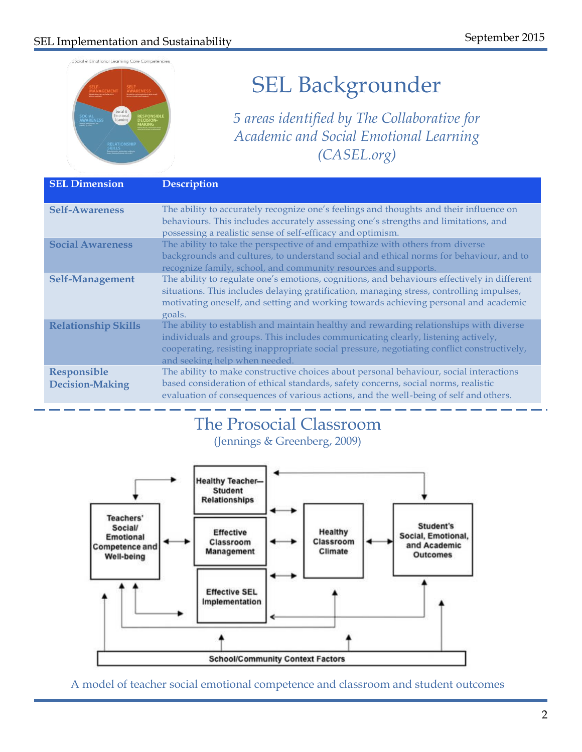Social & Emotional Learning Core Competencies



# SEL Backgrounder

*5 areas identified by The Collaborative for Academic and Social Emotional Learning (CASEL.org)*

| <b>SEL Dimension</b>                         | <b>Description</b>                                                                                                                                                                                                                                                                                        |
|----------------------------------------------|-----------------------------------------------------------------------------------------------------------------------------------------------------------------------------------------------------------------------------------------------------------------------------------------------------------|
| <b>Self-Awareness</b>                        | The ability to accurately recognize one's feelings and thoughts and their influence on<br>behaviours. This includes accurately assessing one's strengths and limitations, and<br>possessing a realistic sense of self-efficacy and optimism.                                                              |
| <b>Social Awareness</b>                      | The ability to take the perspective of and empathize with others from diverse<br>backgrounds and cultures, to understand social and ethical norms for behaviour, and to<br>recognize family, school, and community resources and supports.                                                                |
| <b>Self-Management</b>                       | The ability to regulate one's emotions, cognitions, and behaviours effectively in different<br>situations. This includes delaying gratification, managing stress, controlling impulses,<br>motivating oneself, and setting and working towards achieving personal and academic<br>goals.                  |
| <b>Relationship Skills</b>                   | The ability to establish and maintain healthy and rewarding relationships with diverse<br>individuals and groups. This includes communicating clearly, listening actively,<br>cooperating, resisting inappropriate social pressure, negotiating conflict constructively,<br>and seeking help when needed. |
| <b>Responsible</b><br><b>Decision-Making</b> | The ability to make constructive choices about personal behaviour, social interactions<br>based consideration of ethical standards, safety concerns, social norms, realistic<br>evaluation of consequences of various actions, and the well-being of self and others.                                     |

### The Prosocial Classroom

(Jennings & Greenberg, 2009)



A model of teacher social emotional competence and classroom and student outcomes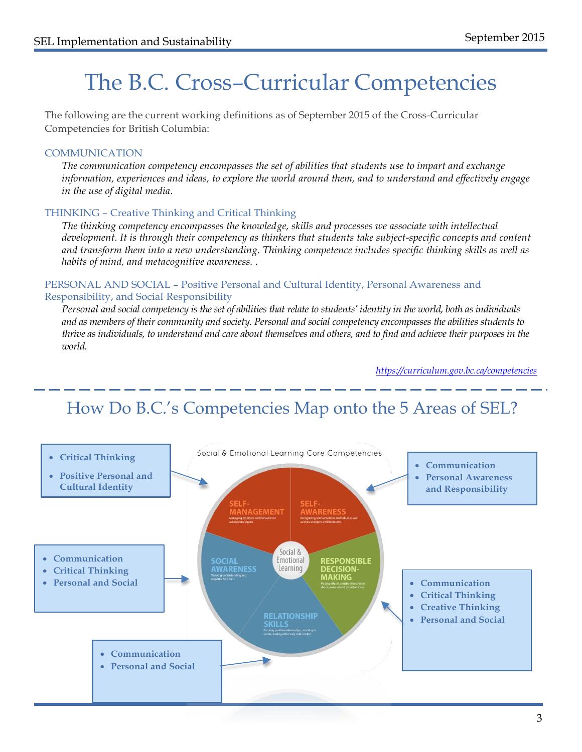## The B.C. Cross–Curricular Competencies

The following are the current working definitions as of September 2015 of the Cross-Curricular Competencies for British Columbia:

#### **COMMUNICATION**

*The communication competency encompasses the set of abilities that students use to impart and exchange information, experiences and ideas, to explore the world around them, and to understand and effectively engage in the use of digital media.*

#### THINKING – Creative Thinking and Critical Thinking

*The thinking competency encompasses the knowledge, skills and processes we associate with intellectual development. It is through their competency as thinkers that students take subject-specific concepts and content and transform them into a new understanding. Thinking competence includes specific thinking skills as well as habits of mind, and metacognitive awareness. .*

#### PERSONAL AND SOCIAL – Positive Personal and Cultural Identity, Personal Awareness and Responsibility, and Social Responsibility

*Personal and social competency is the set of abilities that relate to students' identity in the world, both as individuals and as members of their community and society. Personal and social competency encompasses the abilities students to thrive as individuals, to understand and care about themselves and others, and to find and achieve their purposes in the world.* 

*<https://curriculum.gov.bc.ca/competencies>*

### How Do B.C.'s Competencies Map onto the 5 Areas of SEL?

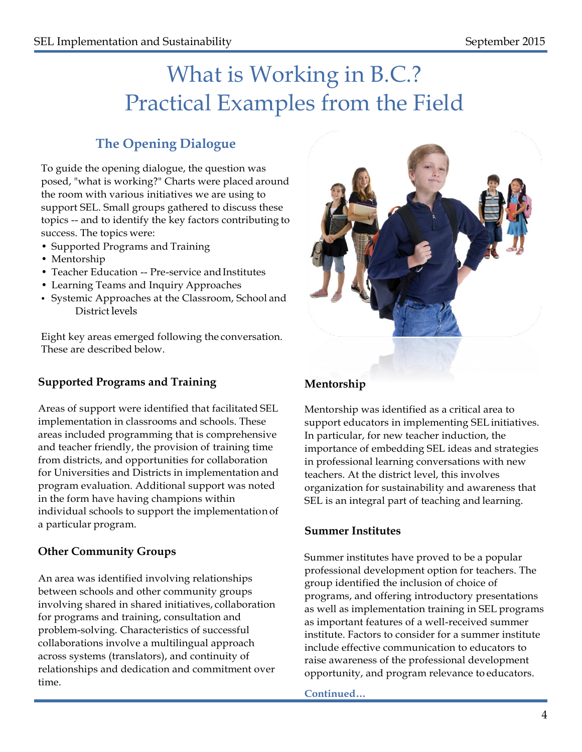# What is Working in B.C.? Practical Examples from the Field

### **The Opening Dialogue**

To guide the opening dialogue, the question was posed, "what is working?" Charts were placed around the room with various initiatives we are using to support SEL. Small groups gathered to discuss these topics -- and to identify the key factors contributing to success. The topics were:

- Supported Programs and Training
- Mentorship
- Teacher Education -- Pre-service and Institutes
- Learning Teams and Inquiry Approaches
- Systemic Approaches at the Classroom, School and District levels

Eight key areas emerged following the conversation. These are described below.

#### **Supported Programs and Training**

Areas of support were identified that facilitated SEL implementation in classrooms and schools. These areas included programming that is comprehensive and teacher friendly, the provision of training time from districts, and opportunities for collaboration for Universities and Districts in implementation and program evaluation. Additional support was noted in the form have having champions within individual schools to support the implementation of a particular program.

#### **Other Community Groups**

An area was identified involving relationships between schools and other community groups involving shared in shared initiatives, collaboration for programs and training, consultation and problem-solving. Characteristics of successful collaborations involve a multilingual approach across systems (translators), and continuity of relationships and dedication and commitment over time.



#### **Mentorship**

Mentorship was identified as a critical area to support educators in implementing SEL initiatives. In particular, for new teacher induction, the importance of embedding SEL ideas and strategies in professional learning conversations with new teachers. At the district level, this involves organization for sustainability and awareness that SEL is an integral part of teaching and learning.

#### **Summer Institutes**

Summer institutes have proved to be a popular professional development option for teachers. The group identified the inclusion of choice of programs, and offering introductory presentations as well as implementation training in SEL programs as important features of a well-received summer institute. Factors to consider for a summer institute include effective communication to educators to raise awareness of the professional development opportunity, and program relevance to educators.

**Continued…**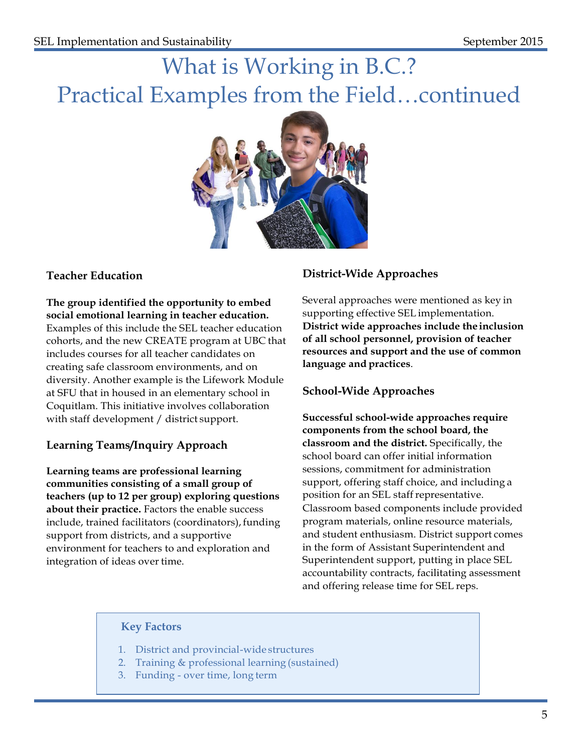# What is Working in B.C.? Practical Examples from the Field…continued



#### **Teacher Education**

**The group identified the opportunity to embed social emotional learning in teacher education.**  Examples of this include the SEL teacher education cohorts, and the new CREATE program at UBC that includes courses for all teacher candidates on creating safe classroom environments, and on diversity. Another example is the Lifework Module at SFU that in housed in an elementary school in Coquitlam. This initiative involves collaboration with staff development / district support.

#### **Learning Teams/Inquiry Approach**

**Learning teams are professional learning communities consisting of a small group of teachers (up to 12 per group) exploring questions about their practice.** Factors the enable success include, trained facilitators (coordinators), funding support from districts, and a supportive environment for teachers to and exploration and integration of ideas over time.

#### **District-Wide Approaches**

Several approaches were mentioned as key in supporting effective SEL implementation. **District wide approaches include theinclusion of all school personnel, provision of teacher resources and support and the use of common language and practices**.

#### **School-Wide Approaches**

**Successful school-wide approaches require components from the school board, the classroom and the district.** Specifically, the school board can offer initial information sessions, commitment for administration support, offering staff choice, and including a position for an SEL staff representative. Classroom based components include provided program materials, online resource materials, and student enthusiasm. District support comes in the form of Assistant Superintendent and Superintendent support, putting in place SEL accountability contracts, facilitating assessment and offering release time for SEL reps.

#### **Key Factors**

- 1. District and provincial-wide structures
- 2. Training & professional learning (sustained)
- 3. Funding over time, long term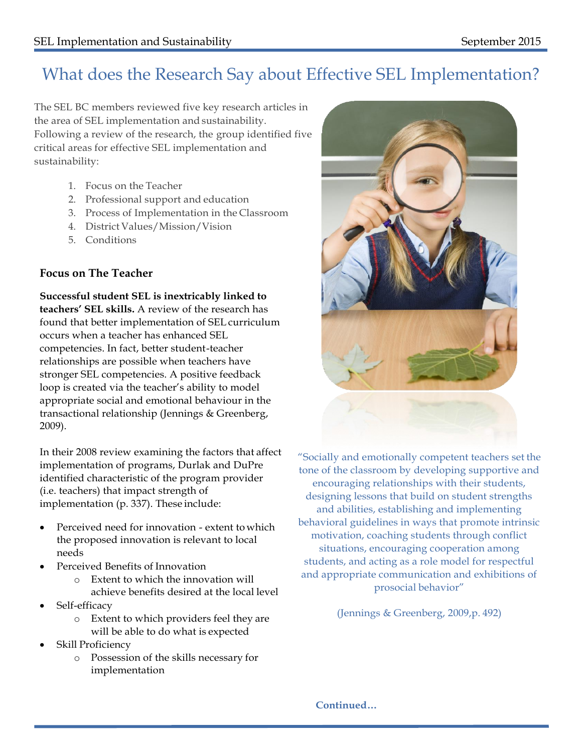### What does the Research Say about Effective SEL Implementation?

The SEL BC members reviewed five key research articles in the area of SEL implementation and sustainability. Following a review of the research, the group identified five critical areas for effective SEL implementation and sustainability:

- 1. Focus on the Teacher
- 2. Professional support and education
- 3. Process of Implementation in the Classroom
- 4. District Values/Mission/Vision
- 5. Conditions

#### **Focus on The Teacher**

**Successful student SEL is inextricably linked to teachers' SEL skills.** A review of the research has found that better implementation of SEL curriculum occurs when a teacher has enhanced SEL competencies. In fact, better student-teacher relationships are possible when teachers have stronger SEL competencies. A positive feedback loop is created via the teacher's ability to model appropriate social and emotional behaviour in the transactional relationship (Jennings & Greenberg, 2009).

In their 2008 review examining the factors that affect implementation of programs, Durlak and DuPre identified characteristic of the program provider (i.e. teachers) that impact strength of implementation (p. 337). These include:

- Perceived need for innovation extent to which the proposed innovation is relevant to local needs
- Perceived Benefits of Innovation
	- o Extent to which the innovation will achieve benefits desired at the local level
- Self-efficacy
	- o Extent to which providers feel they are will be able to do what is expected
- Skill Proficiency
	- o Possession of the skills necessary for implementation



"Socially and emotionally competent teachers set the tone of the classroom by developing supportive and encouraging relationships with their students, designing lessons that build on student strengths and abilities, establishing and implementing behavioral guidelines in ways that promote intrinsic motivation, coaching students through conflict situations, encouraging cooperation among students, and acting as a role model for respectful and appropriate communication and exhibitions of prosocial behavior"

(Jennings & Greenberg, 2009,p. 492)

**Continued…**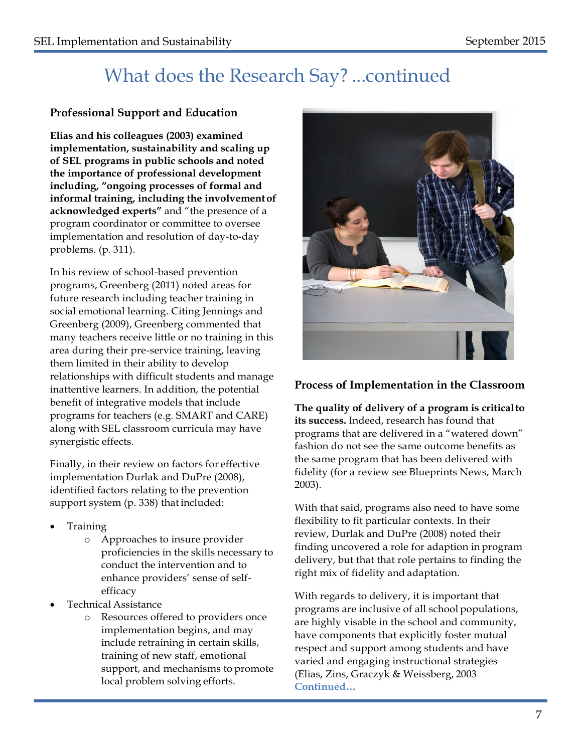## What does the Research Say? ...continued

#### **Professional Support and Education**

**Elias and his colleagues (2003) examined implementation, sustainability and scaling up of SEL programs in public schools and noted the importance of professional development including, "ongoing processes of formal and informal training, including the involvementof acknowledged experts"** and "the presence of a program coordinator or committee to oversee implementation and resolution of day-to-day problems. (p. 311).

In his review of school-based prevention programs, Greenberg (2011) noted areas for future research including teacher training in social emotional learning. Citing Jennings and Greenberg (2009), Greenberg commented that many teachers receive little or no training in this area during their pre-service training, leaving them limited in their ability to develop relationships with difficult students and manage inattentive learners. In addition, the potential benefit of integrative models that include programs for teachers (e.g. SMART and CARE) along with SEL classroom curricula may have synergistic effects.

Finally, in their review on factors for effective implementation Durlak and DuPre (2008), identified factors relating to the prevention support system (p. 338) that included:

- Training
	- o Approaches to insure provider proficiencies in the skills necessary to conduct the intervention and to enhance providers' sense of selfefficacy
- Technical Assistance
	- o Resources offered to providers once implementation begins, and may include retraining in certain skills, training of new staff, emotional support, and mechanisms to promote local problem solving efforts.



#### **Process of Implementation in the Classroom**

**The quality of delivery of a program is criticalto its success.** Indeed, research has found that programs that are delivered in a "watered down" fashion do not see the same outcome benefits as the same program that has been delivered with fidelity (for a review see Blueprints News, March 2003).

With that said, programs also need to have some flexibility to fit particular contexts. In their review, Durlak and DuPre (2008) noted their finding uncovered a role for adaption in program delivery, but that that role pertains to finding the right mix of fidelity and adaptation.

With regards to delivery, it is important that programs are inclusive of all school populations, are highly visable in the school and community, have components that explicitly foster mutual respect and support among students and have varied and engaging instructional strategies (Elias, Zins, Graczyk & Weissberg, 2003 **Continued…**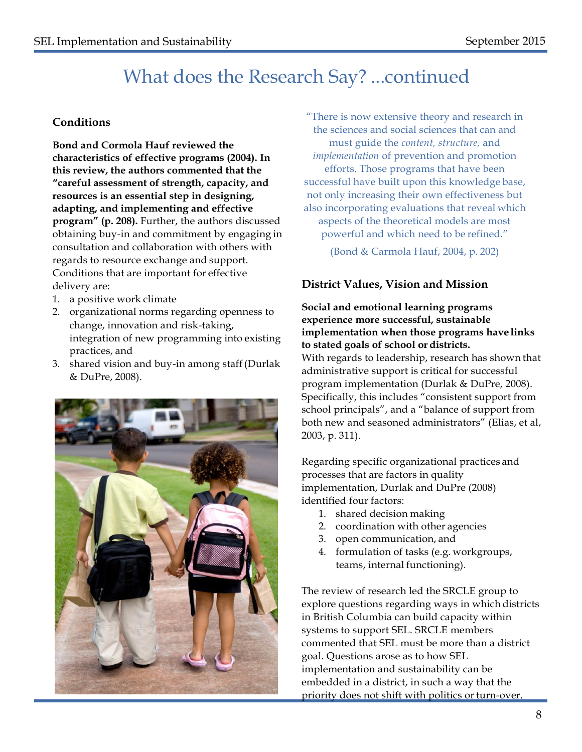### What does the Research Say? ...continued

#### **Conditions**

**Bond and Cormola Hauf reviewed the characteristics of effective programs (2004). In this review, the authors commented that the "careful assessment of strength, capacity, and resources is an essential step in designing, adapting, and implementing and effective program" (p. 208).** Further, the authors discussed obtaining buy-in and commitment by engaging in consultation and collaboration with others with regards to resource exchange and support. Conditions that are important for effective delivery are:

- 1. a positive work climate
- 2. organizational norms regarding openness to change, innovation and risk-taking, integration of new programming into existing practices, and
- 3. shared vision and buy-in among staff(Durlak & DuPre, 2008).



"There is now extensive theory and research in the sciences and social sciences that can and must guide the *content, structure,* and *implementation* of prevention and promotion efforts. Those programs that have been successful have built upon this knowledge base, not only increasing their own effectiveness but also incorporating evaluations that reveal which aspects of the theoretical models are most powerful and which need to be refined."

(Bond & Carmola Hauf, 2004, p. 202)

#### **District Values, Vision and Mission**

#### **Social and emotional learning programs experience more successful, sustainable implementation when those programs have links to stated goals of school ordistricts.**

With regards to leadership, research has shown that administrative support is critical for successful program implementation (Durlak & DuPre, 2008). Specifically, this includes "consistent support from school principals", and a "balance of support from both new and seasoned administrators" (Elias, et al, 2003, p. 311).

Regarding specific organizational practices and processes that are factors in quality implementation, Durlak and DuPre (2008) identified four factors:

- 1. shared decision making
- 2. coordination with other agencies
- 3. open communication, and
- 4. formulation of tasks (e.g. workgroups, teams, internal functioning).

The review of research led the SRCLE group to explore questions regarding ways in which districts in British Columbia can build capacity within systems to support SEL. SRCLE members commented that SEL must be more than a district goal. Questions arose as to how SEL implementation and sustainability can be embedded in a district, in such a way that the priority does not shift with politics or turn-over.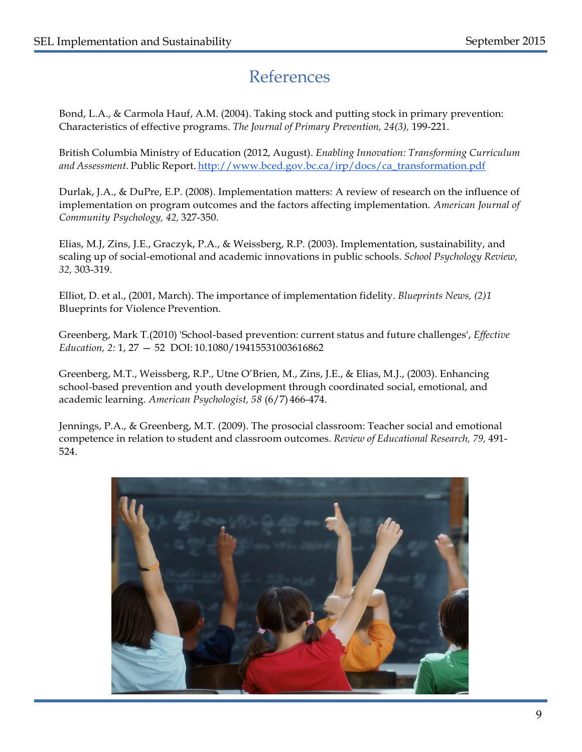### References

Bond, L.A., & Carmola Hauf, A.M. (2004). Taking stock and putting stock in primary prevention: Characteristics of effective programs. *The Journal of Primary Prevention, 24(3),* 199-221.

British Columbia Ministry of Education (2012, August). *Enabling Innovation: Transforming Curriculum and Assessment.* Public Report. [http://www.bced.gov.bc.ca/irp/docs/ca\\_transformation.pdf](http://www.bced.gov.bc.ca/irp/docs/ca_transformation.pdf)

Durlak, J.A., & DuPre, E.P. (2008). Implementation matters: A review of research on the influence of implementation on program outcomes and the factors affecting implementation. *American Journal of Community Psychology, 42,* 327-350.

Elias, M.J, Zins, J.E., Graczyk, P.A., & Weissberg, R.P. (2003). Implementation, sustainability, and scaling up of social-emotional and academic innovations in public schools. *School Psychology Review, 32,* 303-319.

Elliot, D. et al., (2001, March). The importance of implementation fidelity. *Blueprints News, (2)1* Blueprints for Violence Prevention.

Greenberg, Mark T.(2010) 'School-based prevention: current status and future challenges', *Effective Education, 2:* 1, 27 — 52 DOI: 10.1080/19415531003616862

Greenberg, M.T., Weissberg, R.P., Utne O'Brien, M., Zins, J.E., & Elias, M.J., (2003). Enhancing school-based prevention and youth development through coordinated social, emotional, and academic learning. *American Psychologist, 58* (6/7) 466-474.

Jennings, P.A., & Greenberg, M.T. (2009). The prosocial classroom: Teacher social and emotional competence in relation to student and classroom outcomes. *Review of Educational Research, 79,* 491- 524.